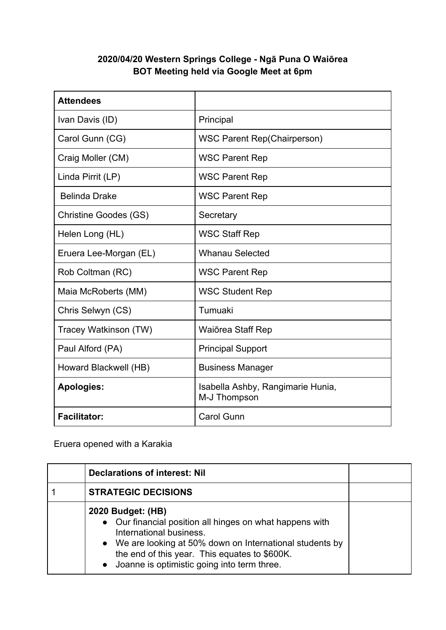## **2020/04/20 Western Springs College - Ngā Puna O Waiōrea BOT Meeting held via Google Meet at 6pm**

| <b>Attendees</b>             |                                                   |
|------------------------------|---------------------------------------------------|
| Ivan Davis (ID)              | Principal                                         |
| Carol Gunn (CG)              | <b>WSC Parent Rep(Chairperson)</b>                |
| Craig Moller (CM)            | <b>WSC Parent Rep</b>                             |
| Linda Pirrit (LP)            | <b>WSC Parent Rep</b>                             |
| <b>Belinda Drake</b>         | <b>WSC Parent Rep</b>                             |
| <b>Christine Goodes (GS)</b> | Secretary                                         |
| Helen Long (HL)              | <b>WSC Staff Rep</b>                              |
| Eruera Lee-Morgan (EL)       | <b>Whanau Selected</b>                            |
| Rob Coltman (RC)             | <b>WSC Parent Rep</b>                             |
| Maia McRoberts (MM)          | <b>WSC Student Rep</b>                            |
| Chris Selwyn (CS)            | Tumuaki                                           |
| Tracey Watkinson (TW)        | Waiōrea Staff Rep                                 |
| Paul Alford (PA)             | <b>Principal Support</b>                          |
| Howard Blackwell (HB)        | <b>Business Manager</b>                           |
| <b>Apologies:</b>            | Isabella Ashby, Rangimarie Hunia,<br>M-J Thompson |
| <b>Facilitator:</b>          | <b>Carol Gunn</b>                                 |

Eruera opened with a Karakia

| <b>Declarations of interest: Nil</b>                                                                                                                                                                                                                                               |  |
|------------------------------------------------------------------------------------------------------------------------------------------------------------------------------------------------------------------------------------------------------------------------------------|--|
| <b>STRATEGIC DECISIONS</b>                                                                                                                                                                                                                                                         |  |
| 2020 Budget: (HB)<br>• Our financial position all hinges on what happens with<br>International business.<br>• We are looking at 50% down on International students by<br>the end of this year. This equates to \$600K.<br>Joanne is optimistic going into term three.<br>$\bullet$ |  |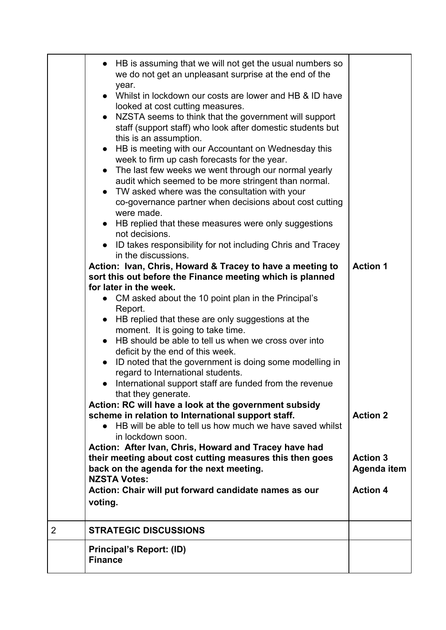|                | • HB is assuming that we will not get the usual numbers so<br>we do not get an unpleasant surprise at the end of the<br>year.<br>Whilst in lockdown our costs are lower and HB & ID have<br>looked at cost cutting measures.<br>NZSTA seems to think that the government will support<br>staff (support staff) who look after domestic students but<br>this is an assumption. |                 |
|----------------|-------------------------------------------------------------------------------------------------------------------------------------------------------------------------------------------------------------------------------------------------------------------------------------------------------------------------------------------------------------------------------|-----------------|
|                | HB is meeting with our Accountant on Wednesday this<br>week to firm up cash forecasts for the year.                                                                                                                                                                                                                                                                           |                 |
|                | • The last few weeks we went through our normal yearly                                                                                                                                                                                                                                                                                                                        |                 |
|                | audit which seemed to be more stringent than normal.                                                                                                                                                                                                                                                                                                                          |                 |
|                | • TW asked where was the consultation with your<br>co-governance partner when decisions about cost cutting<br>were made.                                                                                                                                                                                                                                                      |                 |
|                | • HB replied that these measures were only suggestions<br>not decisions.                                                                                                                                                                                                                                                                                                      |                 |
|                | ID takes responsibility for not including Chris and Tracey<br>in the discussions.                                                                                                                                                                                                                                                                                             |                 |
|                | Action: Ivan, Chris, Howard & Tracey to have a meeting to                                                                                                                                                                                                                                                                                                                     |                 |
|                | sort this out before the Finance meeting which is planned                                                                                                                                                                                                                                                                                                                     |                 |
|                | for later in the week.                                                                                                                                                                                                                                                                                                                                                        |                 |
|                | • CM asked about the 10 point plan in the Principal's                                                                                                                                                                                                                                                                                                                         |                 |
|                | Report.                                                                                                                                                                                                                                                                                                                                                                       |                 |
|                | HB replied that these are only suggestions at the<br>moment. It is going to take time.                                                                                                                                                                                                                                                                                        |                 |
|                | HB should be able to tell us when we cross over into                                                                                                                                                                                                                                                                                                                          |                 |
|                | deficit by the end of this week.                                                                                                                                                                                                                                                                                                                                              |                 |
|                | ID noted that the government is doing some modelling in<br>$\bullet$<br>regard to International students.                                                                                                                                                                                                                                                                     |                 |
|                | • International support staff are funded from the revenue<br>that they generate.                                                                                                                                                                                                                                                                                              |                 |
|                | Action: RC will have a look at the government subsidy                                                                                                                                                                                                                                                                                                                         |                 |
|                | scheme in relation to International support staff.<br>• HB will be able to tell us how much we have saved whilst                                                                                                                                                                                                                                                              | <b>Action 2</b> |
|                | in lockdown soon.                                                                                                                                                                                                                                                                                                                                                             |                 |
|                | Action: After Ivan, Chris, Howard and Tracey have had                                                                                                                                                                                                                                                                                                                         |                 |
|                | their meeting about cost cutting measures this then goes                                                                                                                                                                                                                                                                                                                      | <b>Action 3</b> |
|                | back on the agenda for the next meeting.                                                                                                                                                                                                                                                                                                                                      |                 |
|                | <b>NZSTA Votes:</b>                                                                                                                                                                                                                                                                                                                                                           |                 |
|                | Action: Chair will put forward candidate names as our                                                                                                                                                                                                                                                                                                                         | <b>Action 4</b> |
|                | voting.                                                                                                                                                                                                                                                                                                                                                                       |                 |
| $\overline{2}$ | <b>STRATEGIC DISCUSSIONS</b>                                                                                                                                                                                                                                                                                                                                                  |                 |
|                | <b>Principal's Report: (ID)</b><br><b>Finance</b>                                                                                                                                                                                                                                                                                                                             |                 |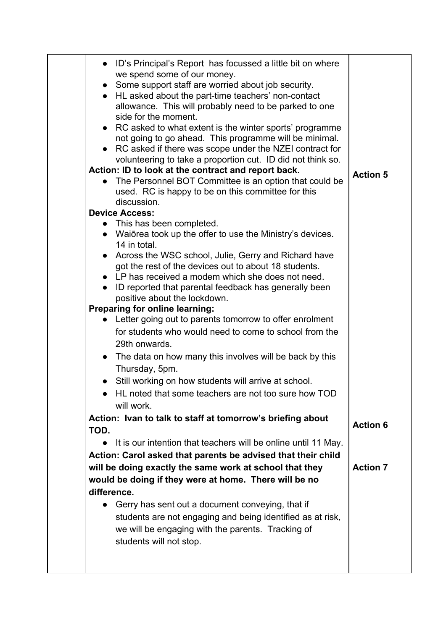| ID's Principal's Report has focussed a little bit on where<br>we spend some of our money.<br>• Some support staff are worried about job security.<br>• HL asked about the part-time teachers' non-contact<br>allowance. This will probably need to be parked to one<br>side for the moment.<br>• RC asked to what extent is the winter sports' programme<br>not going to go ahead. This programme will be minimal.<br>RC asked if there was scope under the NZEI contract for<br>volunteering to take a proportion cut. ID did not think so.<br>Action: ID to look at the contract and report back.<br>The Personnel BOT Committee is an option that could be<br>used. RC is happy to be on this committee for this<br>discussion.<br><b>Device Access:</b> | <b>Action 5</b> |
|-------------------------------------------------------------------------------------------------------------------------------------------------------------------------------------------------------------------------------------------------------------------------------------------------------------------------------------------------------------------------------------------------------------------------------------------------------------------------------------------------------------------------------------------------------------------------------------------------------------------------------------------------------------------------------------------------------------------------------------------------------------|-----------------|
| • This has been completed.                                                                                                                                                                                                                                                                                                                                                                                                                                                                                                                                                                                                                                                                                                                                  |                 |
| • Waiōrea took up the offer to use the Ministry's devices.<br>14 in total.                                                                                                                                                                                                                                                                                                                                                                                                                                                                                                                                                                                                                                                                                  |                 |
| Across the WSC school, Julie, Gerry and Richard have<br>got the rest of the devices out to about 18 students.<br>$\bullet$ LP has received a modem which she does not need.<br>• ID reported that parental feedback has generally been                                                                                                                                                                                                                                                                                                                                                                                                                                                                                                                      |                 |
| positive about the lockdown.                                                                                                                                                                                                                                                                                                                                                                                                                                                                                                                                                                                                                                                                                                                                |                 |
| Preparing for online learning:                                                                                                                                                                                                                                                                                                                                                                                                                                                                                                                                                                                                                                                                                                                              |                 |
| Letter going out to parents tomorrow to offer enrolment<br>for students who would need to come to school from the                                                                                                                                                                                                                                                                                                                                                                                                                                                                                                                                                                                                                                           |                 |
| 29th onwards.                                                                                                                                                                                                                                                                                                                                                                                                                                                                                                                                                                                                                                                                                                                                               |                 |
| The data on how many this involves will be back by this<br>$\bullet$                                                                                                                                                                                                                                                                                                                                                                                                                                                                                                                                                                                                                                                                                        |                 |
| Thursday, 5pm.                                                                                                                                                                                                                                                                                                                                                                                                                                                                                                                                                                                                                                                                                                                                              |                 |
| Still working on how students will arrive at school.<br>HL noted that some teachers are not too sure how TOD                                                                                                                                                                                                                                                                                                                                                                                                                                                                                                                                                                                                                                                |                 |
| will work.                                                                                                                                                                                                                                                                                                                                                                                                                                                                                                                                                                                                                                                                                                                                                  |                 |
| Action: Ivan to talk to staff at tomorrow's briefing about                                                                                                                                                                                                                                                                                                                                                                                                                                                                                                                                                                                                                                                                                                  |                 |
| TOD.                                                                                                                                                                                                                                                                                                                                                                                                                                                                                                                                                                                                                                                                                                                                                        | <b>Action 6</b> |
| It is our intention that teachers will be online until 11 May.                                                                                                                                                                                                                                                                                                                                                                                                                                                                                                                                                                                                                                                                                              |                 |
| Action: Carol asked that parents be advised that their child                                                                                                                                                                                                                                                                                                                                                                                                                                                                                                                                                                                                                                                                                                |                 |
| will be doing exactly the same work at school that they                                                                                                                                                                                                                                                                                                                                                                                                                                                                                                                                                                                                                                                                                                     | <b>Action 7</b> |
| would be doing if they were at home. There will be no                                                                                                                                                                                                                                                                                                                                                                                                                                                                                                                                                                                                                                                                                                       |                 |
| difference.                                                                                                                                                                                                                                                                                                                                                                                                                                                                                                                                                                                                                                                                                                                                                 |                 |
| Gerry has sent out a document conveying, that if                                                                                                                                                                                                                                                                                                                                                                                                                                                                                                                                                                                                                                                                                                            |                 |
| students are not engaging and being identified as at risk,                                                                                                                                                                                                                                                                                                                                                                                                                                                                                                                                                                                                                                                                                                  |                 |
| we will be engaging with the parents. Tracking of                                                                                                                                                                                                                                                                                                                                                                                                                                                                                                                                                                                                                                                                                                           |                 |
| students will not stop.                                                                                                                                                                                                                                                                                                                                                                                                                                                                                                                                                                                                                                                                                                                                     |                 |
|                                                                                                                                                                                                                                                                                                                                                                                                                                                                                                                                                                                                                                                                                                                                                             |                 |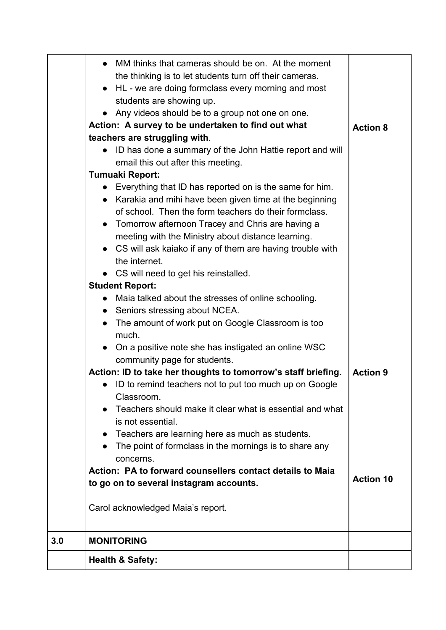|     | MM thinks that cameras should be on. At the moment<br>the thinking is to let students turn off their cameras.<br>HL - we are doing formclass every morning and most<br>$\bullet$<br>students are showing up.<br>Any videos should be to a group not one on one.<br>Action: A survey to be undertaken to find out what<br>teachers are struggling with.<br>• ID has done a summary of the John Hattie report and will<br>email this out after this meeting.<br>Tumuaki Report:<br>• Everything that ID has reported on is the same for him.<br>• Karakia and mihi have been given time at the beginning<br>of school. Then the form teachers do their formclass.<br>• Tomorrow afternoon Tracey and Chris are having a<br>meeting with the Ministry about distance learning.<br>• CS will ask kaiako if any of them are having trouble with<br>the internet.<br>• CS will need to get his reinstalled.<br><b>Student Report:</b><br>Maia talked about the stresses of online schooling.<br>$\bullet$<br>• Seniors stressing about NCEA.<br>The amount of work put on Google Classroom is too<br>much.<br>• On a positive note she has instigated an online WSC<br>community page for students. | <b>Action 8</b>  |
|-----|-----------------------------------------------------------------------------------------------------------------------------------------------------------------------------------------------------------------------------------------------------------------------------------------------------------------------------------------------------------------------------------------------------------------------------------------------------------------------------------------------------------------------------------------------------------------------------------------------------------------------------------------------------------------------------------------------------------------------------------------------------------------------------------------------------------------------------------------------------------------------------------------------------------------------------------------------------------------------------------------------------------------------------------------------------------------------------------------------------------------------------------------------------------------------------------------------|------------------|
|     | Action: ID to take her thoughts to tomorrow's staff briefing.<br>• ID to remind teachers not to put too much up on Google<br>Classroom.                                                                                                                                                                                                                                                                                                                                                                                                                                                                                                                                                                                                                                                                                                                                                                                                                                                                                                                                                                                                                                                       | <b>Action 9</b>  |
|     | Teachers should make it clear what is essential and what<br>is not essential.                                                                                                                                                                                                                                                                                                                                                                                                                                                                                                                                                                                                                                                                                                                                                                                                                                                                                                                                                                                                                                                                                                                 |                  |
|     | Teachers are learning here as much as students.<br>The point of formclass in the mornings is to share any<br>concerns.                                                                                                                                                                                                                                                                                                                                                                                                                                                                                                                                                                                                                                                                                                                                                                                                                                                                                                                                                                                                                                                                        |                  |
|     | Action: PA to forward counsellers contact details to Maia<br>to go on to several instagram accounts.                                                                                                                                                                                                                                                                                                                                                                                                                                                                                                                                                                                                                                                                                                                                                                                                                                                                                                                                                                                                                                                                                          | <b>Action 10</b> |
|     | Carol acknowledged Maia's report.                                                                                                                                                                                                                                                                                                                                                                                                                                                                                                                                                                                                                                                                                                                                                                                                                                                                                                                                                                                                                                                                                                                                                             |                  |
| 3.0 | <b>MONITORING</b>                                                                                                                                                                                                                                                                                                                                                                                                                                                                                                                                                                                                                                                                                                                                                                                                                                                                                                                                                                                                                                                                                                                                                                             |                  |
|     | <b>Health &amp; Safety:</b>                                                                                                                                                                                                                                                                                                                                                                                                                                                                                                                                                                                                                                                                                                                                                                                                                                                                                                                                                                                                                                                                                                                                                                   |                  |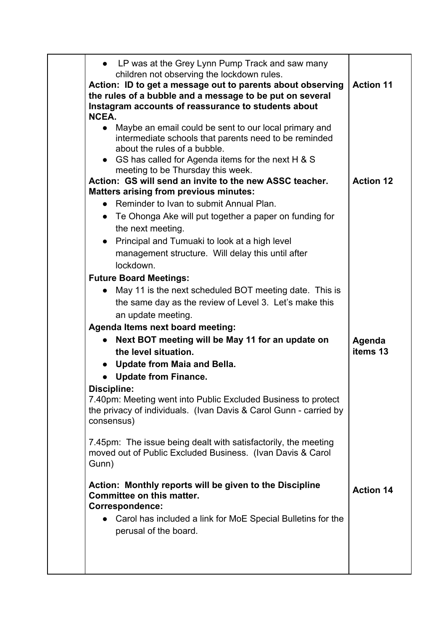|             | LP was at the Grey Lynn Pump Track and saw many<br>children not observing the lockdown rules.                                                                                 |                  |
|-------------|-------------------------------------------------------------------------------------------------------------------------------------------------------------------------------|------------------|
|             | Action: ID to get a message out to parents about observing<br>the rules of a bubble and a message to be put on several<br>Instagram accounts of reassurance to students about | <b>Action 11</b> |
| NCEA.       |                                                                                                                                                                               |                  |
|             | Maybe an email could be sent to our local primary and<br>intermediate schools that parents need to be reminded<br>about the rules of a bubble.                                |                  |
|             | • GS has called for Agenda items for the next H & S<br>meeting to be Thursday this week.                                                                                      |                  |
|             | Action: GS will send an invite to the new ASSC teacher.                                                                                                                       | <b>Action 12</b> |
|             | <b>Matters arising from previous minutes:</b>                                                                                                                                 |                  |
|             | Reminder to Ivan to submit Annual Plan.                                                                                                                                       |                  |
|             | • Te Ohonga Ake will put together a paper on funding for<br>the next meeting.                                                                                                 |                  |
|             | Principal and Tumuaki to look at a high level                                                                                                                                 |                  |
|             | management structure. Will delay this until after                                                                                                                             |                  |
|             | lockdown.                                                                                                                                                                     |                  |
|             | <b>Future Board Meetings:</b>                                                                                                                                                 |                  |
|             | May 11 is the next scheduled BOT meeting date. This is                                                                                                                        |                  |
|             | the same day as the review of Level 3. Let's make this                                                                                                                        |                  |
|             | an update meeting.                                                                                                                                                            |                  |
|             | <b>Agenda Items next board meeting:</b>                                                                                                                                       |                  |
|             | Next BOT meeting will be May 11 for an update on                                                                                                                              | Agenda           |
|             | the level situation.                                                                                                                                                          | items 13         |
|             | Update from Maia and Bella.                                                                                                                                                   |                  |
|             | <b>Update from Finance.</b>                                                                                                                                                   |                  |
| Discipline: | 7.40pm: Meeting went into Public Excluded Business to protect<br>the privacy of individuals. (Ivan Davis & Carol Gunn - carried by<br>consensus)                              |                  |
| Gunn)       | 7.45pm: The issue being dealt with satisfactorily, the meeting<br>moved out of Public Excluded Business. (Ivan Davis & Carol                                                  |                  |
|             | Action: Monthly reports will be given to the Discipline<br>Committee on this matter.<br>Correspondence:                                                                       | <b>Action 14</b> |
|             | Carol has included a link for MoE Special Bulletins for the<br>perusal of the board.                                                                                          |                  |
|             |                                                                                                                                                                               |                  |